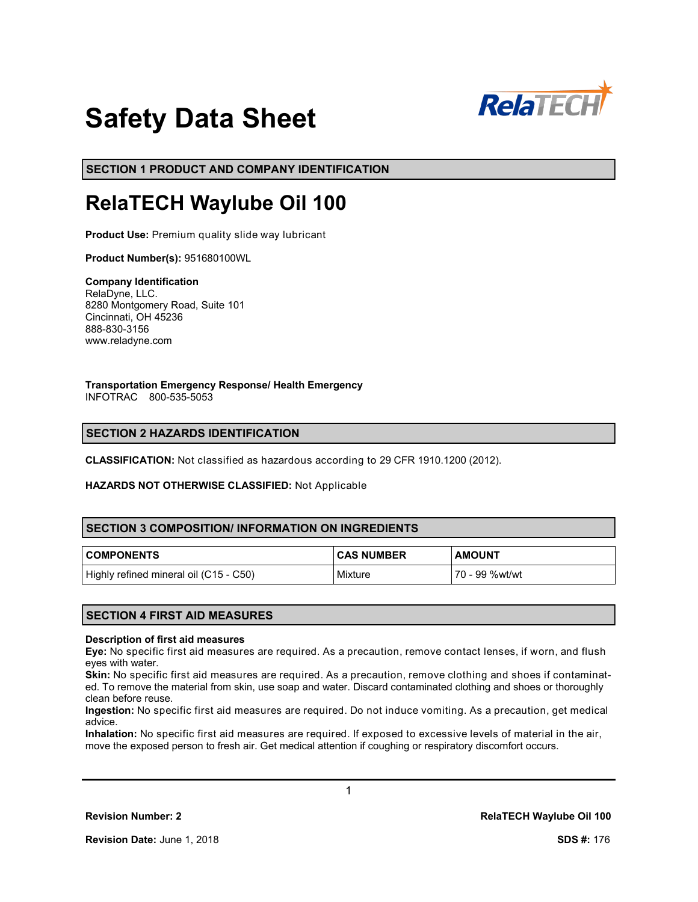

# **Safety Data Sheet**

**SECTION 1 PRODUCT AND COMPANY IDENTIFICATION**

# **RelaTECH Waylube Oil 100**

**Product Use:** Premium quality slide way lubricant

**Product Number(s):** 951680100WL

#### **Company Identification** RelaDyne, LLC. 8280 Montgomery Road, Suite 101 Cincinnati, OH 45236 888-830-3156 www.reladyne.com

**Transportation Emergency Response/ Health Emergency** INFOTRAC 800-535-5053

# **SECTION 2 HAZARDS IDENTIFICATION**

**CLASSIFICATION:** Not classified as hazardous according to 29 CFR 1910.1200 (2012).

#### **HAZARDS NOT OTHERWISE CLASSIFIED:** Not Applicable

# **SECTION 3 COMPOSITION/ INFORMATION ON INGREDIENTS**

| <b>COMPONENTS</b>                      | <b>CAS NUMBER</b> | <b>AMOUNT</b>  |
|----------------------------------------|-------------------|----------------|
| Highly refined mineral oil (C15 - C50) | Mixture           | 70 - 99 %wt/wt |

# **SECTION 4 FIRST AID MEASURES**

#### **Description of first aid measures**

**Eye:** No specific first aid measures are required. As a precaution, remove contact lenses, if worn, and flush eyes with water.

**Skin:** No specific first aid measures are required. As a precaution, remove clothing and shoes if contaminated. To remove the material from skin, use soap and water. Discard contaminated clothing and shoes or thoroughly clean before reuse.

**Ingestion:** No specific first aid measures are required. Do not induce vomiting. As a precaution, get medical advice.

**Inhalation:** No specific first aid measures are required. If exposed to excessive levels of material in the air, move the exposed person to fresh air. Get medical attention if coughing or respiratory discomfort occurs.

1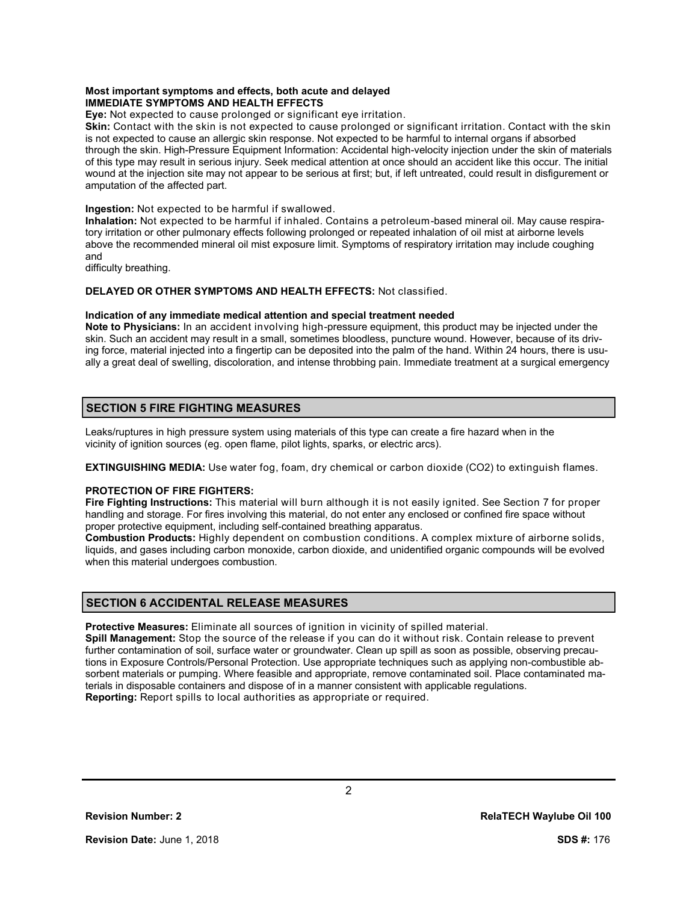#### **Most important symptoms and effects, both acute and delayed IMMEDIATE SYMPTOMS AND HEALTH EFFECTS**

**Eye:** Not expected to cause prolonged or significant eye irritation.

**Skin:** Contact with the skin is not expected to cause prolonged or significant irritation. Contact with the skin is not expected to cause an allergic skin response. Not expected to be harmful to internal organs if absorbed through the skin. High-Pressure Equipment Information: Accidental high-velocity injection under the skin of materials of this type may result in serious injury. Seek medical attention at once should an accident like this occur. The initial wound at the injection site may not appear to be serious at first; but, if left untreated, could result in disfigurement or amputation of the affected part.

#### **Ingestion:** Not expected to be harmful if swallowed.

**Inhalation:** Not expected to be harmful if inhaled. Contains a petroleum-based mineral oil. May cause respiratory irritation or other pulmonary effects following prolonged or repeated inhalation of oil mist at airborne levels above the recommended mineral oil mist exposure limit. Symptoms of respiratory irritation may include coughing and

difficulty breathing.

#### **DELAYED OR OTHER SYMPTOMS AND HEALTH EFFECTS:** Not classified.

#### **Indication of any immediate medical attention and special treatment needed**

**Note to Physicians:** In an accident involving high-pressure equipment, this product may be injected under the skin. Such an accident may result in a small, sometimes bloodless, puncture wound. However, because of its driving force, material injected into a fingertip can be deposited into the palm of the hand. Within 24 hours, there is usually a great deal of swelling, discoloration, and intense throbbing pain. Immediate treatment at a surgical emergency

# **SECTION 5 FIRE FIGHTING MEASURES**

Leaks/ruptures in high pressure system using materials of this type can create a fire hazard when in the vicinity of ignition sources (eg. open flame, pilot lights, sparks, or electric arcs).

**EXTINGUISHING MEDIA:** Use water fog, foam, dry chemical or carbon dioxide (CO2) to extinguish flames.

# **PROTECTION OF FIRE FIGHTERS:**

**Fire Fighting Instructions:** This material will burn although it is not easily ignited. See Section 7 for proper handling and storage. For fires involving this material, do not enter any enclosed or confined fire space without proper protective equipment, including self-contained breathing apparatus.

**Combustion Products:** Highly dependent on combustion conditions. A complex mixture of airborne solids, liquids, and gases including carbon monoxide, carbon dioxide, and unidentified organic compounds will be evolved when this material undergoes combustion.

# **SECTION 6 ACCIDENTAL RELEASE MEASURES**

**Protective Measures:** Eliminate all sources of ignition in vicinity of spilled material.

**Spill Management:** Stop the source of the release if you can do it without risk. Contain release to prevent further contamination of soil, surface water or groundwater. Clean up spill as soon as possible, observing precautions in Exposure Controls/Personal Protection. Use appropriate techniques such as applying non-combustible absorbent materials or pumping. Where feasible and appropriate, remove contaminated soil. Place contaminated materials in disposable containers and dispose of in a manner consistent with applicable regulations. **Reporting:** Report spills to local authorities as appropriate or required.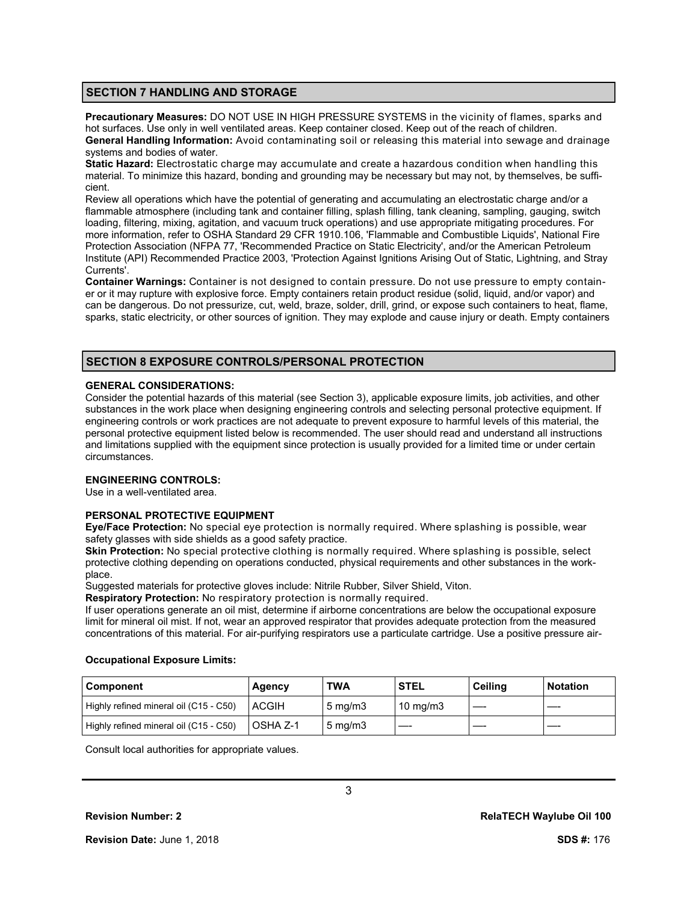## **SECTION 7 HANDLING AND STORAGE**

**Precautionary Measures:** DO NOT USE IN HIGH PRESSURE SYSTEMS in the vicinity of flames, sparks and hot surfaces. Use only in well ventilated areas. Keep container closed. Keep out of the reach of children. **General Handling Information:** Avoid contaminating soil or releasing this material into sewage and drainage systems and bodies of water.

**Static Hazard:** Electrostatic charge may accumulate and create a hazardous condition when handling this material. To minimize this hazard, bonding and grounding may be necessary but may not, by themselves, be sufficient.

Review all operations which have the potential of generating and accumulating an electrostatic charge and/or a flammable atmosphere (including tank and container filling, splash filling, tank cleaning, sampling, gauging, switch loading, filtering, mixing, agitation, and vacuum truck operations) and use appropriate mitigating procedures. For more information, refer to OSHA Standard 29 CFR 1910.106, 'Flammable and Combustible Liquids', National Fire Protection Association (NFPA 77, 'Recommended Practice on Static Electricity', and/or the American Petroleum Institute (API) Recommended Practice 2003, 'Protection Against Ignitions Arising Out of Static, Lightning, and Stray Currents'.

**Container Warnings:** Container is not designed to contain pressure. Do not use pressure to empty container or it may rupture with explosive force. Empty containers retain product residue (solid, liquid, and/or vapor) and can be dangerous. Do not pressurize, cut, weld, braze, solder, drill, grind, or expose such containers to heat, flame, sparks, static electricity, or other sources of ignition. They may explode and cause injury or death. Empty containers

# **SECTION 8 EXPOSURE CONTROLS/PERSONAL PROTECTION**

#### **GENERAL CONSIDERATIONS:**

Consider the potential hazards of this material (see Section 3), applicable exposure limits, job activities, and other substances in the work place when designing engineering controls and selecting personal protective equipment. If engineering controls or work practices are not adequate to prevent exposure to harmful levels of this material, the personal protective equipment listed below is recommended. The user should read and understand all instructions and limitations supplied with the equipment since protection is usually provided for a limited time or under certain circumstances.

## **ENGINEERING CONTROLS:**

Use in a well-ventilated area.

#### **PERSONAL PROTECTIVE EQUIPMENT**

**Eye/Face Protection:** No special eye protection is normally required. Where splashing is possible, wear safety glasses with side shields as a good safety practice.

**Skin Protection:** No special protective clothing is normally required. Where splashing is possible, select protective clothing depending on operations conducted, physical requirements and other substances in the workplace.

Suggested materials for protective gloves include: Nitrile Rubber, Silver Shield, Viton.

**Respiratory Protection:** No respiratory protection is normally required.

If user operations generate an oil mist, determine if airborne concentrations are below the occupational exposure limit for mineral oil mist. If not, wear an approved respirator that provides adequate protection from the measured concentrations of this material. For air-purifying respirators use a particulate cartridge. Use a positive pressure air-

#### **Occupational Exposure Limits:**

| l Component                            | Agency          | <b>TWA</b>         | <b>STEL</b>       | Ceiling | <b>Notation</b> |
|----------------------------------------|-----------------|--------------------|-------------------|---------|-----------------|
| Highly refined mineral oil (C15 - C50) | <b>ACGIH</b>    | $5 \text{ ma/m}$ 3 | $10 \text{ mg/m}$ |         |                 |
| Highly refined mineral oil (C15 - C50) | <b>OSHA Z-1</b> | $5 \text{ ma/m}$ 3 |                   |         |                 |

3

Consult local authorities for appropriate values.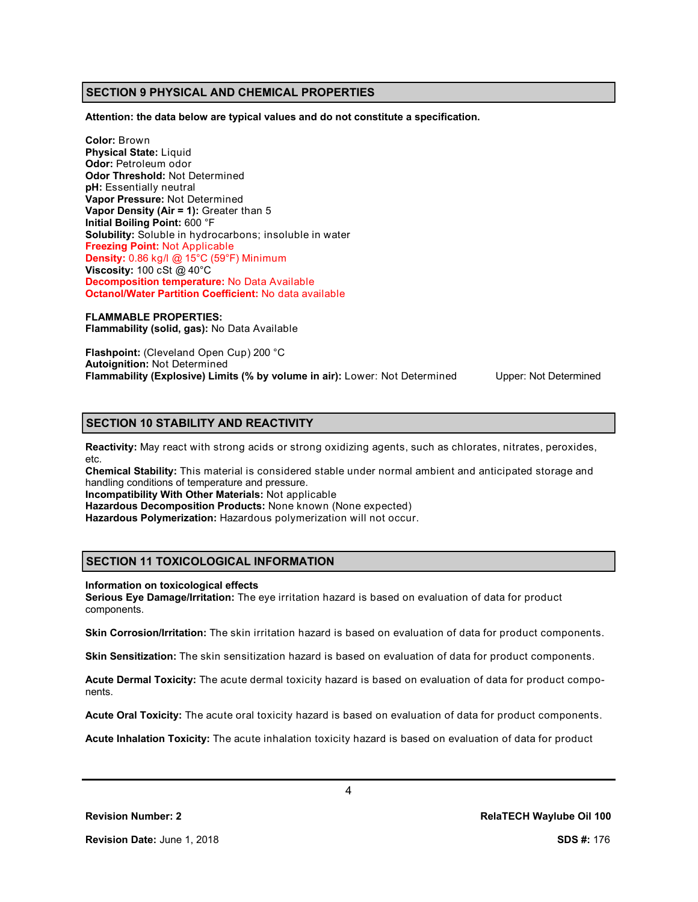#### **SECTION 9 PHYSICAL AND CHEMICAL PROPERTIES**

**Attention: the data below are typical values and do not constitute a specification.**

**Color:** Brown **Physical State:** Liquid **Odor:** Petroleum odor **Odor Threshold:** Not Determined **pH:** Essentially neutral **Vapor Pressure:** Not Determined **Vapor Density (Air = 1):** Greater than 5 **Initial Boiling Point:** 600 °F **Solubility:** Soluble in hydrocarbons; insoluble in water **Freezing Point:** Not Applicable **Density:** 0.86 kg/l @ 15°C (59°F) Minimum **Viscosity:** 100 cSt @ 40°C **Decomposition temperature:** No Data Available **Octanol/Water Partition Coefficient:** No data available

**FLAMMABLE PROPERTIES: Flammability (solid, gas):** No Data Available

**Flashpoint:** (Cleveland Open Cup) 200 °C **Autoignition:** Not Determined **Flammability (Explosive) Limits (% by volume in air):** Lower: Not Determined Upper: Not Determined

# **SECTION 10 STABILITY AND REACTIVITY**

**Reactivity:** May react with strong acids or strong oxidizing agents, such as chlorates, nitrates, peroxides, etc.

**Chemical Stability:** This material is considered stable under normal ambient and anticipated storage and handling conditions of temperature and pressure.

**Incompatibility With Other Materials:** Not applicable

**Hazardous Decomposition Products:** None known (None expected)

**Hazardous Polymerization:** Hazardous polymerization will not occur.

# **SECTION 11 TOXICOLOGICAL INFORMATION**

#### **Information on toxicological effects**

**Serious Eye Damage/Irritation:** The eye irritation hazard is based on evaluation of data for product components.

**Skin Corrosion/Irritation:** The skin irritation hazard is based on evaluation of data for product components.

**Skin Sensitization:** The skin sensitization hazard is based on evaluation of data for product components.

**Acute Dermal Toxicity:** The acute dermal toxicity hazard is based on evaluation of data for product components.

**Acute Oral Toxicity:** The acute oral toxicity hazard is based on evaluation of data for product components.

**Acute Inhalation Toxicity:** The acute inhalation toxicity hazard is based on evaluation of data for product

**Revision Number: 2 RelaTECH Waylube Oil 100**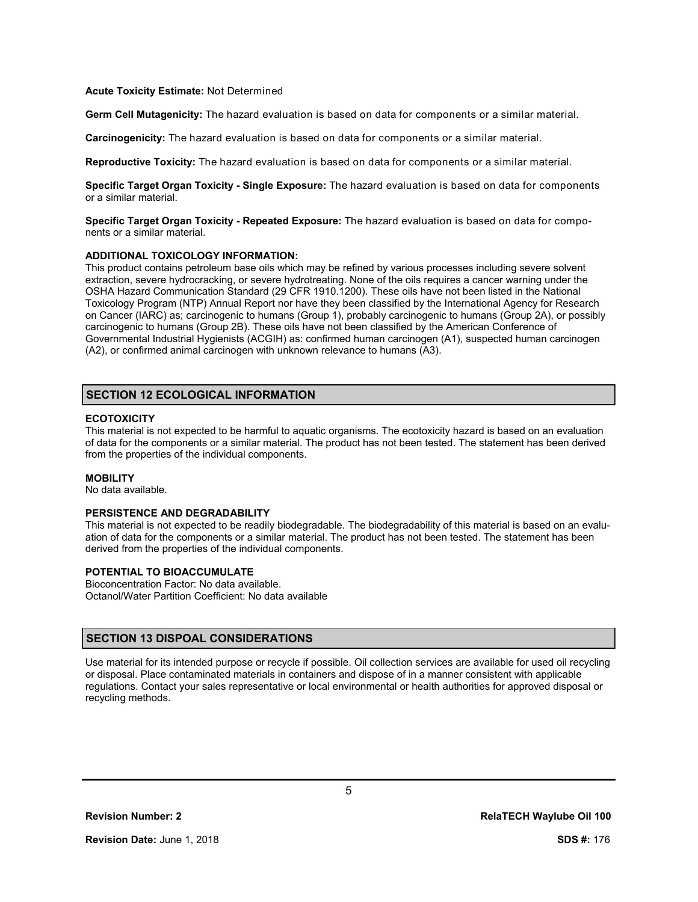#### **Acute Toxicity Estimate:** Not Determined

**Germ Cell Mutagenicity:** The hazard evaluation is based on data for components or a similar material.

**Carcinogenicity:** The hazard evaluation is based on data for components or a similar material.

**Reproductive Toxicity:** The hazard evaluation is based on data for components or a similar material.

**Specific Target Organ Toxicity - Single Exposure:** The hazard evaluation is based on data for components or a similar material.

**Specific Target Organ Toxicity - Repeated Exposure:** The hazard evaluation is based on data for components or a similar material.

#### **ADDITIONAL TOXICOLOGY INFORMATION:**

This product contains petroleum base oils which may be refined by various processes including severe solvent extraction, severe hydrocracking, or severe hydrotreating. None of the oils requires a cancer warning under the OSHA Hazard Communication Standard (29 CFR 1910.1200). These oils have not been listed in the National Toxicology Program (NTP) Annual Report nor have they been classified by the International Agency for Research on Cancer (IARC) as; carcinogenic to humans (Group 1), probably carcinogenic to humans (Group 2A), or possibly carcinogenic to humans (Group 2B). These oils have not been classified by the American Conference of Governmental Industrial Hygienists (ACGIH) as: confirmed human carcinogen (A1), suspected human carcinogen (A2), or confirmed animal carcinogen with unknown relevance to humans (A3).

#### **SECTION 12 ECOLOGICAL INFORMATION**

#### **ECOTOXICITY**

This material is not expected to be harmful to aquatic organisms. The ecotoxicity hazard is based on an evaluation of data for the components or a similar material. The product has not been tested. The statement has been derived from the properties of the individual components.

#### **MOBILITY**

No data available.

#### **PERSISTENCE AND DEGRADABILITY**

This material is not expected to be readily biodegradable. The biodegradability of this material is based on an evaluation of data for the components or a similar material. The product has not been tested. The statement has been derived from the properties of the individual components.

# **POTENTIAL TO BIOACCUMULATE**

Bioconcentration Factor: No data available. Octanol/Water Partition Coefficient: No data available

# **SECTION 13 DISPOAL CONSIDERATIONS**

Use material for its intended purpose or recycle if possible. Oil collection services are available for used oil recycling or disposal. Place contaminated materials in containers and dispose of in a manner consistent with applicable regulations. Contact your sales representative or local environmental or health authorities for approved disposal or recycling methods.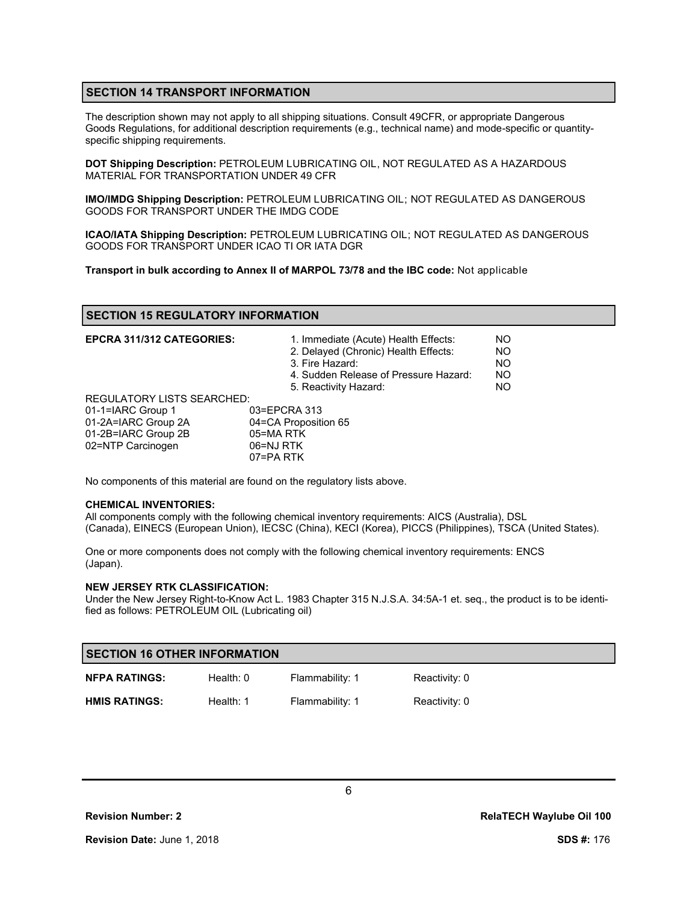## **SECTION 14 TRANSPORT INFORMATION**

The description shown may not apply to all shipping situations. Consult 49CFR, or appropriate Dangerous Goods Regulations, for additional description requirements (e.g., technical name) and mode-specific or quantityspecific shipping requirements.

**DOT Shipping Description:** PETROLEUM LUBRICATING OIL, NOT REGULATED AS A HAZARDOUS MATERIAL FOR TRANSPORTATION UNDER 49 CFR

**IMO/IMDG Shipping Description:** PETROLEUM LUBRICATING OIL; NOT REGULATED AS DANGEROUS GOODS FOR TRANSPORT UNDER THE IMDG CODE

**ICAO/IATA Shipping Description:** PETROLEUM LUBRICATING OIL; NOT REGULATED AS DANGEROUS GOODS FOR TRANSPORT UNDER ICAO TI OR IATA DGR

**Transport in bulk according to Annex II of MARPOL 73/78 and the IBC code:** Not applicable

### **SECTION 15 REGULATORY INFORMATION**

| <b>EPCRA 311/312 CATEGORIES:</b>  | 1. Immediate (Acute) Health Effects:<br>2. Delayed (Chronic) Health Effects:<br>3. Fire Hazard:<br>4. Sudden Release of Pressure Hazard:<br>5. Reactivity Hazard: | NO.<br><b>NO</b><br>NO.<br><b>NO</b><br>NO. |
|-----------------------------------|-------------------------------------------------------------------------------------------------------------------------------------------------------------------|---------------------------------------------|
| <b>REGULATORY LISTS SEARCHED:</b> |                                                                                                                                                                   |                                             |
| 01-1=IARC Group 1                 | 03=EPCRA 313                                                                                                                                                      |                                             |
| 01-2A=IARC Group 2A               | 04=CA Proposition 65                                                                                                                                              |                                             |
| 01-2B=IARC Group 2B               | 05=MA RTK                                                                                                                                                         |                                             |
| 02=NTP Carcinogen                 | 06=NJ RTK                                                                                                                                                         |                                             |
|                                   | 07=PA RTK                                                                                                                                                         |                                             |

No components of this material are found on the regulatory lists above.

#### **CHEMICAL INVENTORIES:**

All components comply with the following chemical inventory requirements: AICS (Australia), DSL (Canada), EINECS (European Union), IECSC (China), KECI (Korea), PICCS (Philippines), TSCA (United States).

One or more components does not comply with the following chemical inventory requirements: ENCS (Japan).

#### **NEW JERSEY RTK CLASSIFICATION:**

Under the New Jersey Right-to-Know Act L. 1983 Chapter 315 N.J.S.A. 34:5A-1 et. seq., the product is to be identified as follows: PETROLEUM OIL (Lubricating oil)

| <b>SECTION 16 OTHER INFORMATION</b> |             |                 |               |
|-------------------------------------|-------------|-----------------|---------------|
| <b>NFPA RATINGS:</b>                | Health: $0$ | Flammability: 1 | Reactivity: 0 |
| <b>HMIS RATINGS:</b>                | Health: 1   | Flammability: 1 | Reactivity: 0 |